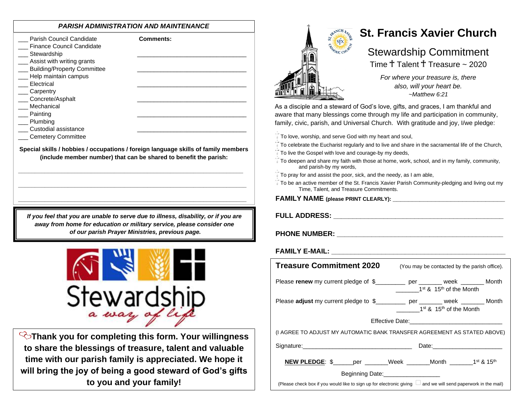# *PARISH ADMINISTRATION AND MAINTENANCE*

| www.circle.com                                                                                                                                                                                                                                                                                                                  |                                                                                                                                                                                                                |
|---------------------------------------------------------------------------------------------------------------------------------------------------------------------------------------------------------------------------------------------------------------------------------------------------------------------------------|----------------------------------------------------------------------------------------------------------------------------------------------------------------------------------------------------------------|
| Parish Council Candidate<br><b>Finance Council Candidate</b><br>__ Stewardship<br>Assist with writing grants<br><b>Building/Property Committee</b><br>Help maintain campus<br>Electrical<br>Carpentry<br>Concrete/Asphalt<br>Mechanical<br>$\equiv$ Painting<br>_ Plumbing<br>Custodial assistance<br><b>Cemetery Committee</b> | <b>Comments:</b>                                                                                                                                                                                               |
|                                                                                                                                                                                                                                                                                                                                 | Special skills / hobbies / occupations / foreign language skills of family members<br>(include member number) that can be shared to benefit the parish:                                                        |
|                                                                                                                                                                                                                                                                                                                                 | If you feel that you are unable to serve due to illness, disability, or if you are<br>away from home for education or military service, please consider one<br>of our parish Prayer Ministries, previous page. |
| Stewardsh                                                                                                                                                                                                                                                                                                                       |                                                                                                                                                                                                                |
| $\mathbf{r}$ and $\mathbf{r}$ and $\mathbf{r}$                                                                                                                                                                                                                                                                                  | <b>√</b> ेThank you for completing this form. Your willingness                                                                                                                                                 |

**to share the blessings of treasure, talent and valuable time with our parish family is appreciated. We hope it will bring the joy of being a good steward of God's gifts to you and your family!**



# **St. Francis Xavier Church**

# Stewardship Commitment

Time $\dagger$  Talent  $\dagger$  Treasure ~ 2020

*For where your treasure is, there also, will your heart be. ~Matthew 6:21*

As a disciple and a steward of God's love, gifts, and graces, I am thankful and aware that many blessings come through my life and participation in community, family, civic, parish, and Universal Church. With gratitude and joy, I/we pledge:

 $\mathbb{T}$  To love, worship, and serve God with my heart and soul,

 $\sqrt{ }$  To celebrate the Eucharist regularly and to live and share in the sacramental life of the Church,

- $\sqrt{ }$  To live the Gospel with love and courage-by my deeds,
- $\bar{a}$  To deepen and share my faith with those at home, work, school, and in my family, community, and parish-by my words,
- $\bar{1}$  To pray for and assist the poor, sick, and the needy, as I am able,
- $\overline{1}$  To be an active member of the St. Francis Xavier Parish Community-pledging and living out my Time, Talent, and Treasure Commitments.

**FAMILY NAME (please PRINT CLEARLY): \_\_\_\_\_\_\_\_\_\_\_\_\_\_\_\_\_\_\_\_\_\_\_\_\_\_\_\_\_**

**FULL ADDRESS: \_\_\_\_\_\_\_\_\_\_\_\_\_\_\_\_\_\_\_\_\_\_\_\_\_\_\_\_\_\_\_\_\_\_\_\_\_\_\_\_\_\_\_\_**

## **PHONE NUMBER: \_\_\_\_\_\_\_\_\_\_\_\_\_\_\_\_\_\_\_\_\_\_\_\_\_\_\_\_\_\_\_\_\_\_\_\_\_\_\_\_\_\_\_**

# **FAMILY E-MAIL:**  $\blacksquare$

| <b>Treasure Commitment 2020</b>                                                                                     | (You may be contacted by the parish office).    |
|---------------------------------------------------------------------------------------------------------------------|-------------------------------------------------|
| Please renew my current pledge of \$_________ per ______ week ______ Month                                          | 1 <sup>st</sup> & 15 <sup>th</sup> of the Month |
| Please adjust my current pledge to \$____________ per ________ week ________ Month                                  | 1 <sup>st</sup> & 15 <sup>th</sup> of the Month |
|                                                                                                                     |                                                 |
| (I AGREE TO ADJUST MY AUTOMATIC BANK TRANSFER AGREEMENT AS STATED ABOVE)                                            |                                                 |
|                                                                                                                     | Date: _________________________                 |
| <b>NEW PLEDGE:</b> \$ _____ per ______Week ______Month _______1 <sup>st</sup> & 15 <sup>th</sup>                    |                                                 |
| Beginning Date: <b>Example 2014</b>                                                                                 |                                                 |
| (Please check box if you would like to sign up for electronic giving $\Box$ and we will send paperwork in the mail) |                                                 |